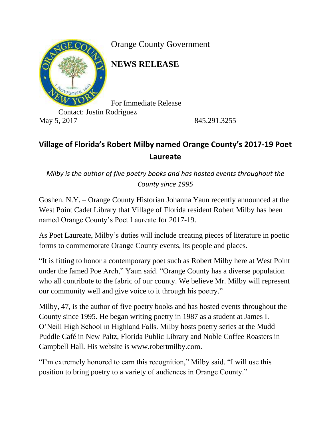

Orange County Government

**NEWS RELEASE**

For Immediate Release

Contact: Justin Rodriguez May 5, 2017 845.291.3255

## **Village of Florida's Robert Milby named Orange County's 2017-19 Poet Laureate**

*Milby is the author of five poetry books and has hosted events throughout the County since 1995*

Goshen, N.Y. – Orange County Historian Johanna Yaun recently announced at the West Point Cadet Library that Village of Florida resident Robert Milby has been named Orange County's Poet Laureate for 2017-19.

As Poet Laureate, Milby's duties will include creating pieces of literature in poetic forms to commemorate Orange County events, its people and places.

"It is fitting to honor a contemporary poet such as Robert Milby here at West Point under the famed Poe Arch," Yaun said. "Orange County has a diverse population who all contribute to the fabric of our county. We believe Mr. Milby will represent our community well and give voice to it through his poetry."

Milby, 47, is the author of five poetry books and has hosted events throughout the County since 1995. He began writing poetry in 1987 as a student at James I. O'Neill High School in Highland Falls. Milby hosts poetry series at the Mudd Puddle Café in New Paltz, Florida Public Library and Noble Coffee Roasters in Campbell Hall. His website is [www.robertmilby.com.](http://www.robertmilby.com/)

"I'm extremely honored to earn this recognition," Milby said. "I will use this position to bring poetry to a variety of audiences in Orange County."